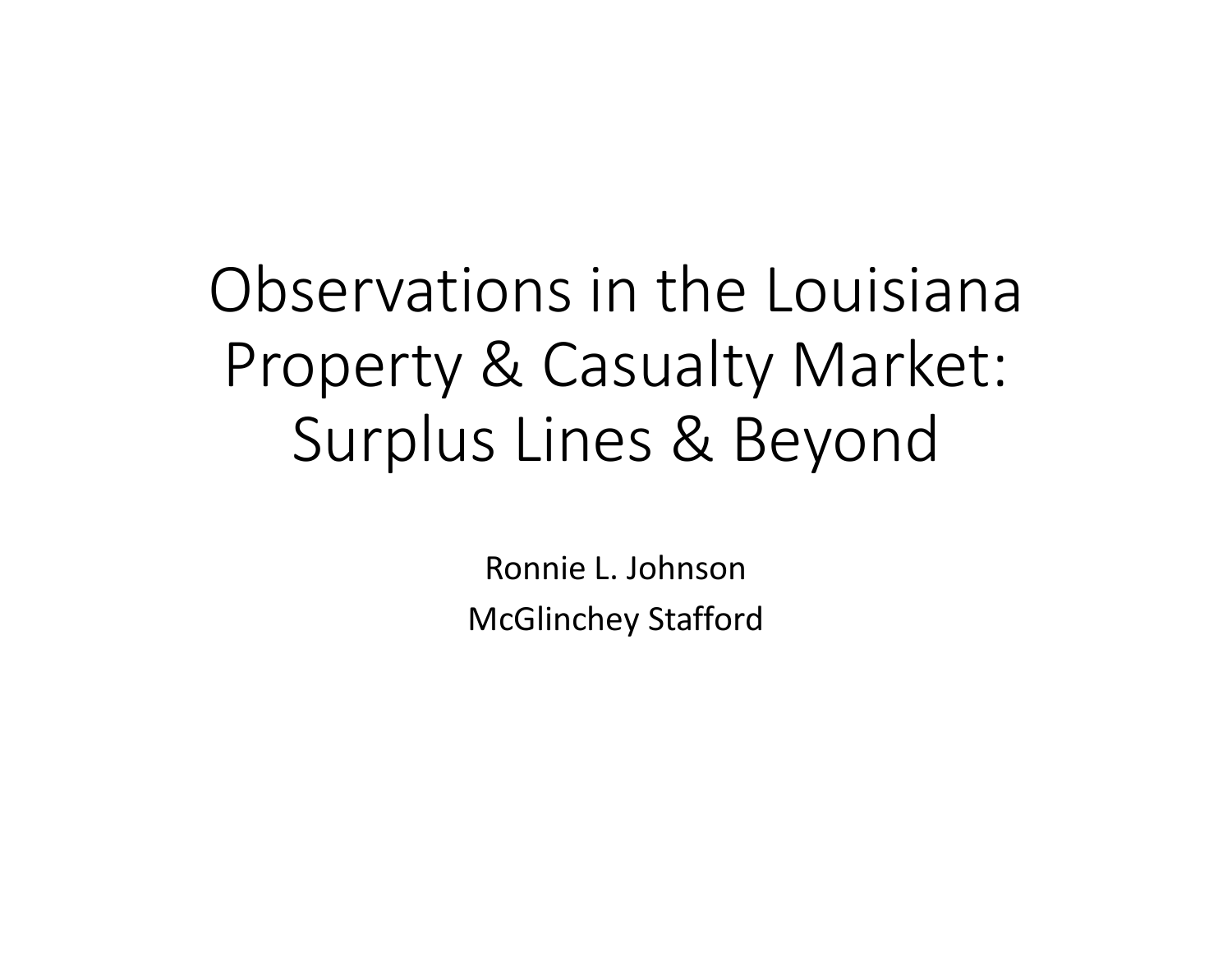Observations in the Louisiana Property & Casualty Market: Surplus Lines & Beyond

> Ronnie L. JohnsonMcGlinchey Stafford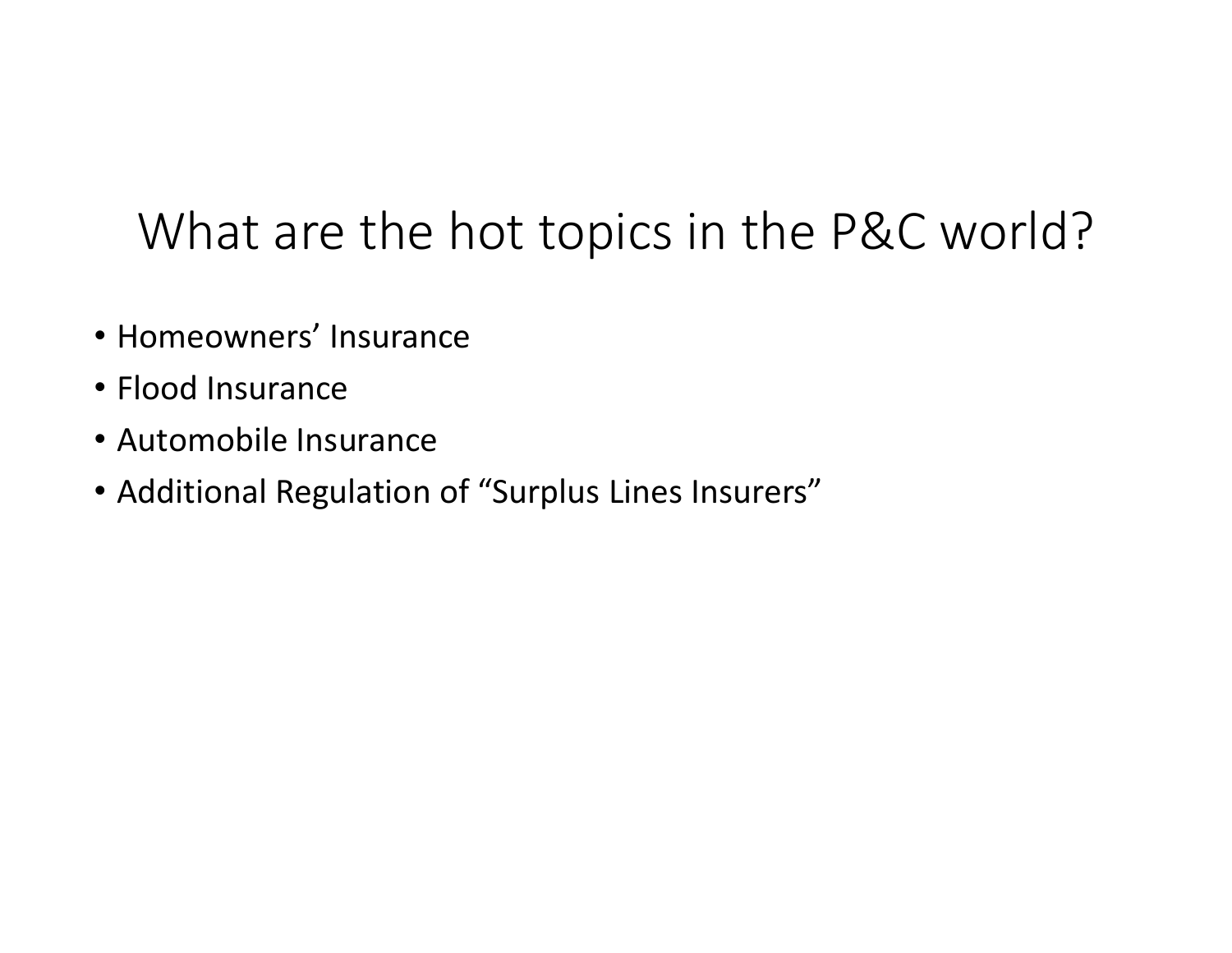# What are the hot topics in the P&C world?

- Homeowners' Insurance
- Flood Insurance
- Automobile Insurance
- Additional Regulation of "Surplus Lines Insurers"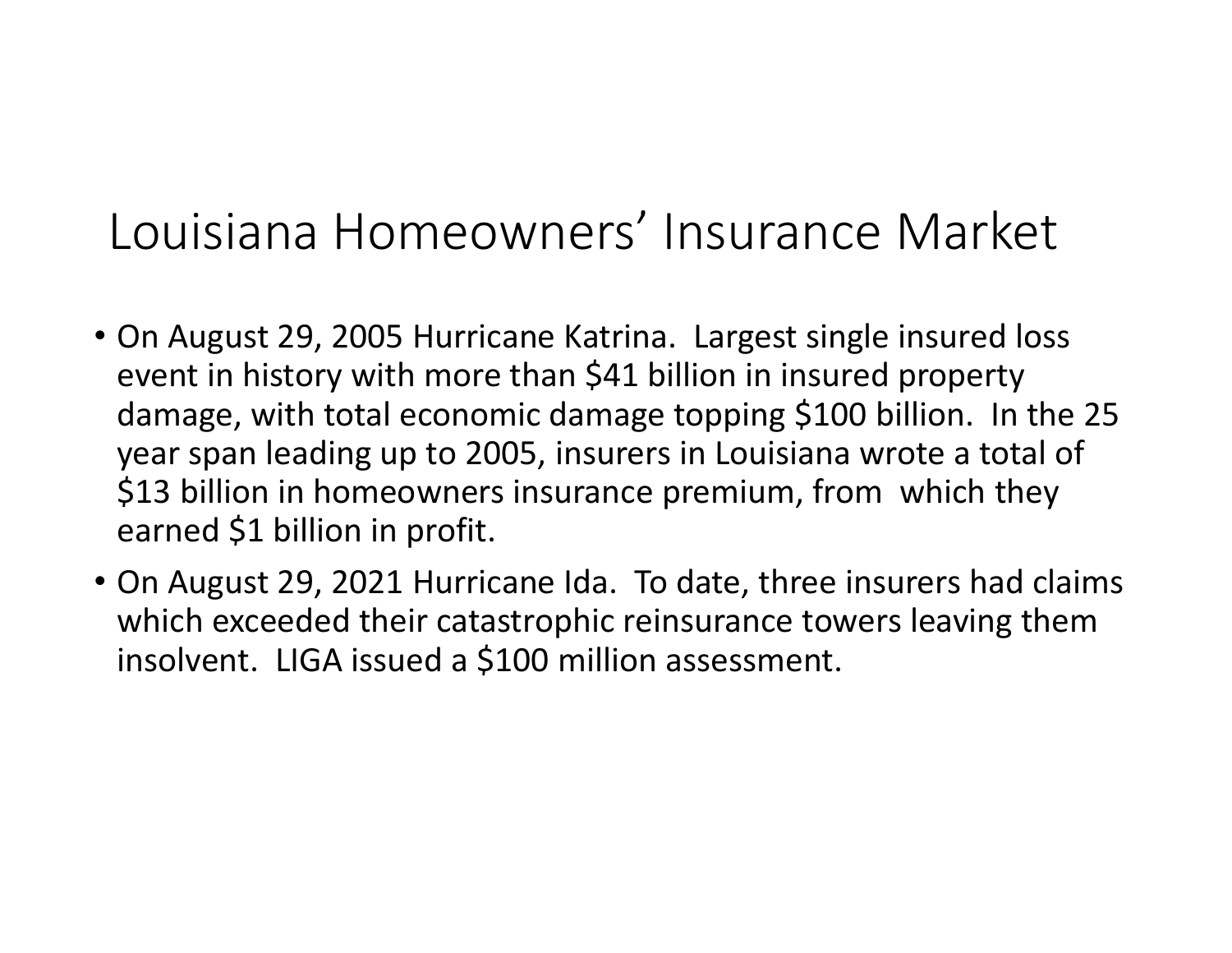## Louisiana Homeowners' Insurance Market

- On August 29, 2005 Hurricane Katrina. Largest single insured loss event in history with more than \$41 billion in insured property damage, with total economic damage topping \$100 billion. In the 25 year span leading up to 2005, insurers in Louisiana wrote <sup>a</sup> total of \$13 billion in homeowners insurance premium, from which they earned \$1 billion in profit.
- On August 29, 2021 Hurricane Ida. To date, three insurers had claims which exceeded their catastrophic reinsurance towers leaving them insolvent. LIGA issued <sup>a</sup> \$100 million assessment.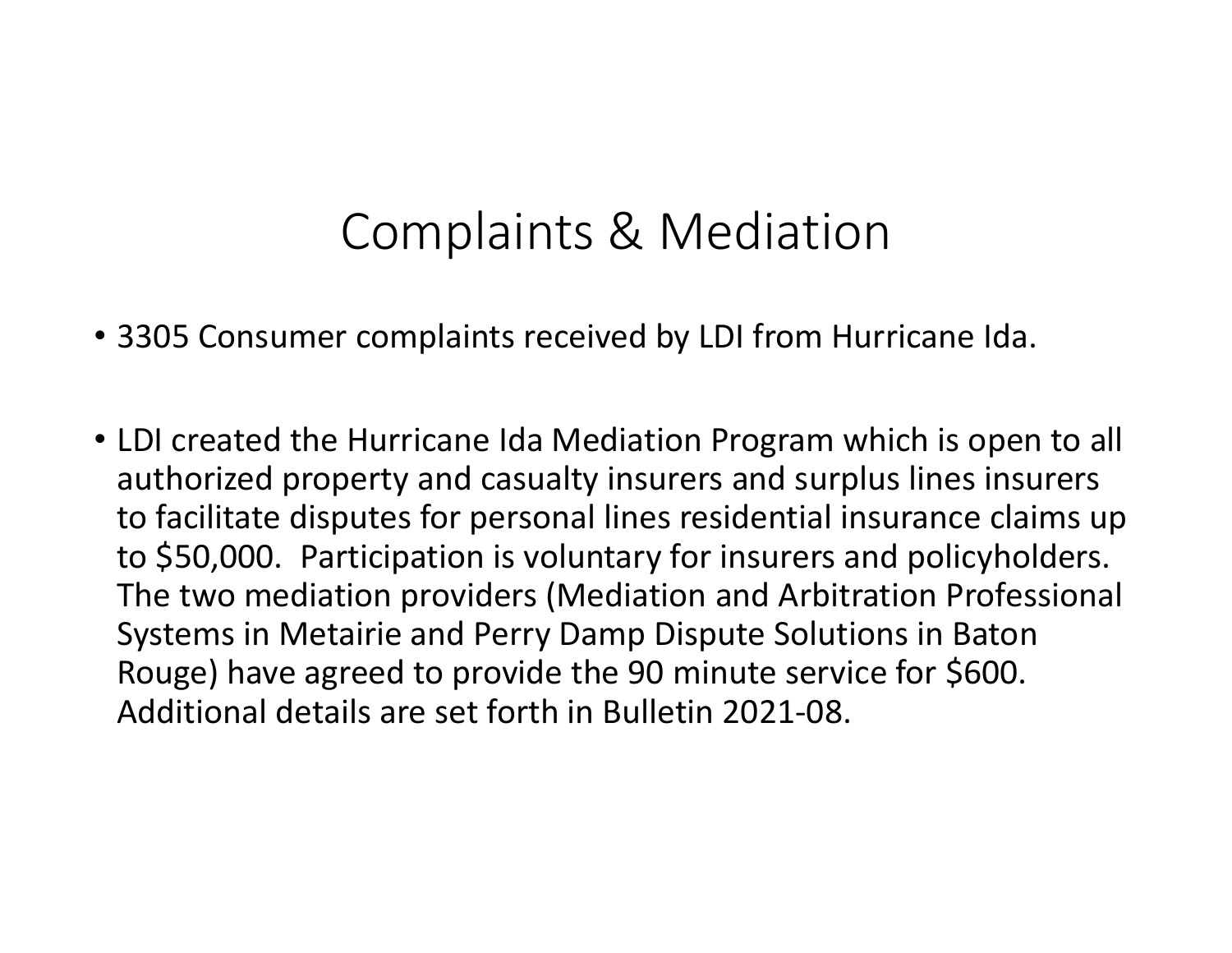## Complaints & Mediation

- 3305 Consumer complaints received by LDI from Hurricane Ida.
- LDI created the Hurricane Ida Mediation Program which is open to all authorized property and casualty insurers and surplus lines insurers to facilitate disputes for personal lines residential insurance claims up to \$50,000. Participation is voluntary for insurers and policyholders. The two mediation providers (Mediation and Arbitration Professional Systems in Metairie and Perry Damp Dispute Solutions in Baton Rouge) have agreed to provide the 90 minute service for \$600. Additional details are set forth in Bulletin 2021‐08.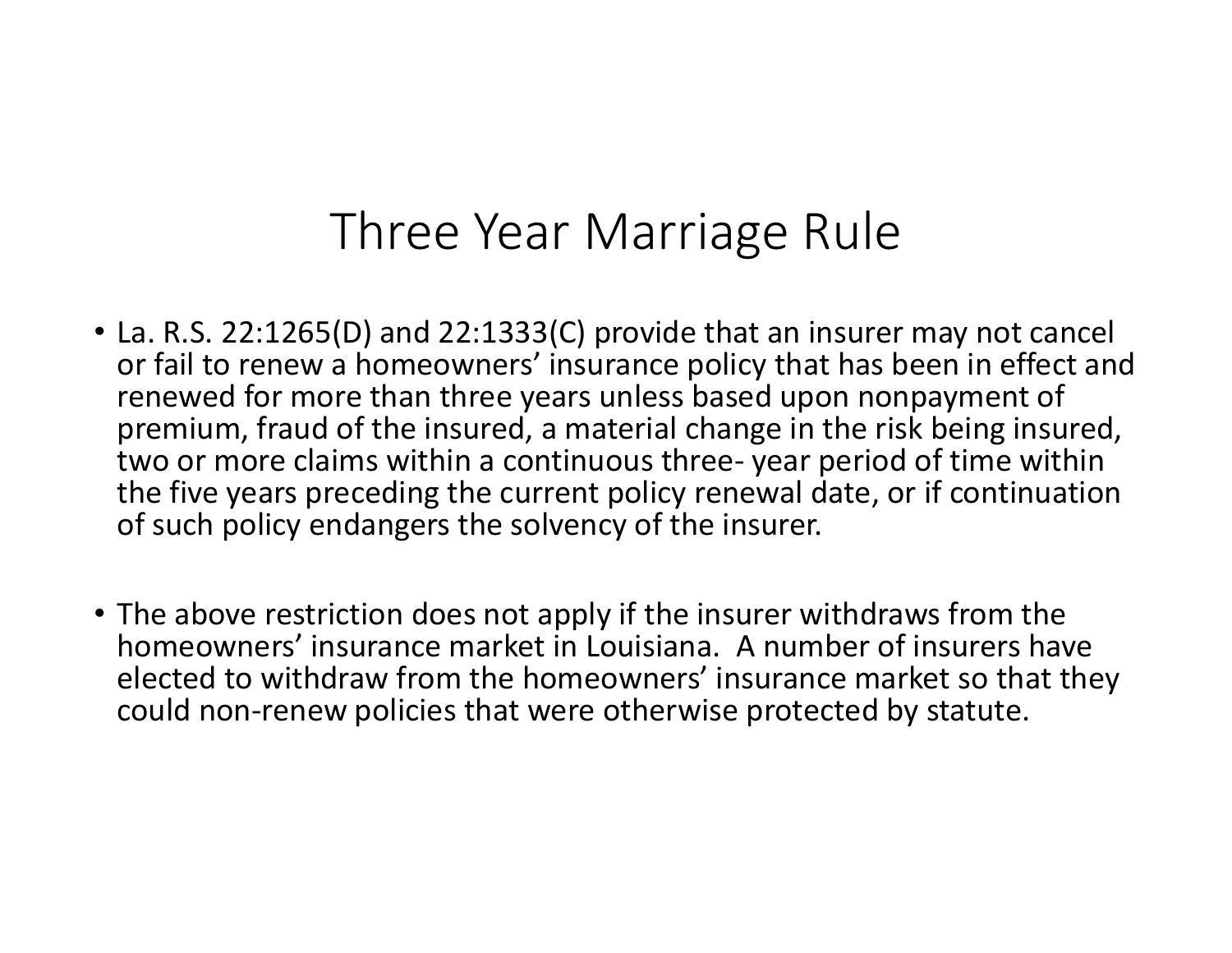#### Three Year Marriage Rule

- La. R.S. 22:1265(D) and 22:1333(C) provide that an insurer may not cancel or fail to renew <sup>a</sup> homeowners' insurance policy that has been in effect and renewed for more than three years unless based upon nonpayment of premium, fraud of the insured, <sup>a</sup> material change in the risk being insured, two or more claims within <sup>a</sup> continuous three‐ year period of time within the five years preceding the current policy renewal date, or if continuation of such policy endangers the solvency of the insurer.
- The above restriction does not apply if the insurer withdraws from the homeowners' insurance market in Louisiana. A number of insurers have elected to withdraw from the homeowners' insurance market so that they could non‐renew policies that were otherwise protected by statute.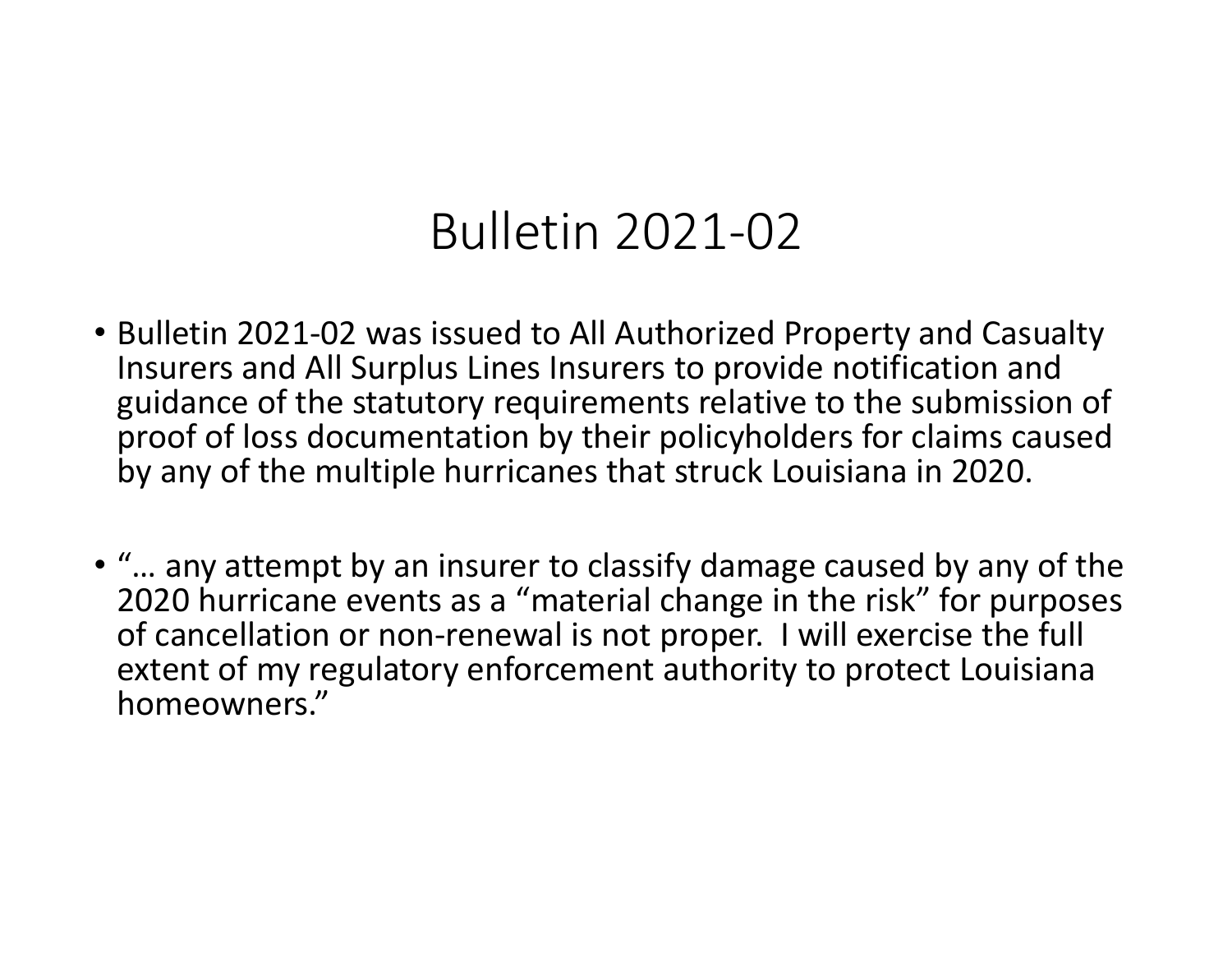### Bulletin 2021‐02

- Bulletin 2021‐02 was issued to All Authorized Property and Casualty Insurers and All Surplus Lines Insurers to provide notification and guidance of the statutory requirements relative to the submission of proof of loss documentation by their policyholders for claims caused by any of the multiple hurricanes that struck Louisiana in 2020.
- "… any attempt by an insurer to classify damage caused by any of the 2020 hurricane events as <sup>a</sup> "material change in the risk" for purposes of cancellation or non‐renewal is not proper. I will exercise the full extent of my regulatory enforcement authority to protect Louisiana homeowners."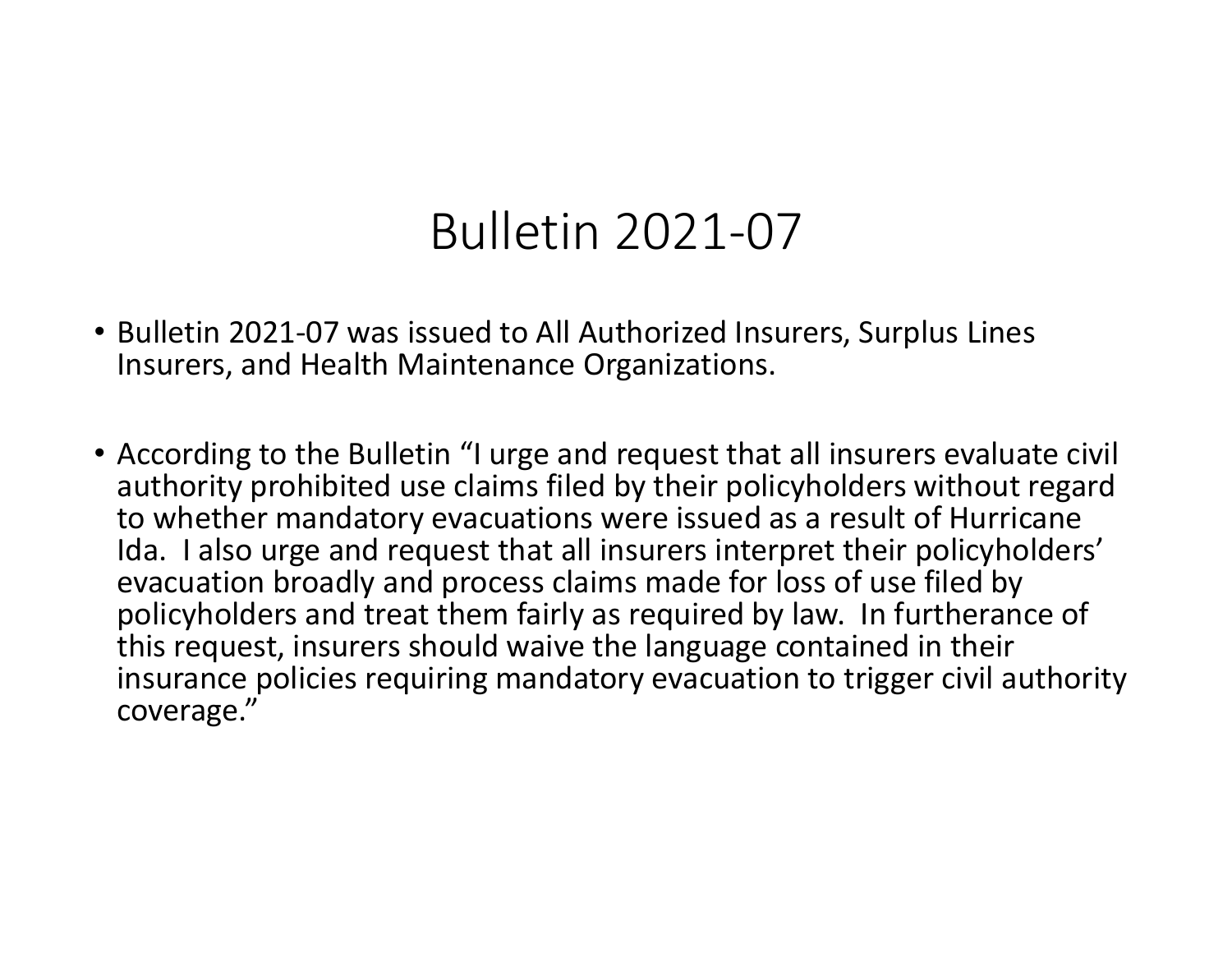#### Bulletin 2021‐07

- Bulletin 2021‐07 was issued to All Authorized Insurers, Surplus Lines Insurers, and Health Maintenance Organizations.
- According to the Bulletin "I urge and request that all insurers evaluate civil authority prohibited use claims filed by their policyholders without regard to whether mandatory evacuations were issued as <sup>a</sup> result of Hurricane Ida. I also urge and request that all insurers interpret their policyholders' evacuation broadly and process claims made for loss of use filed by policyholders and treat them fairly as required by law. In furtherance of this request, insurers should waive the language contained in their insurance policies requiring mandatory evacuation to trigger civil authority coverage."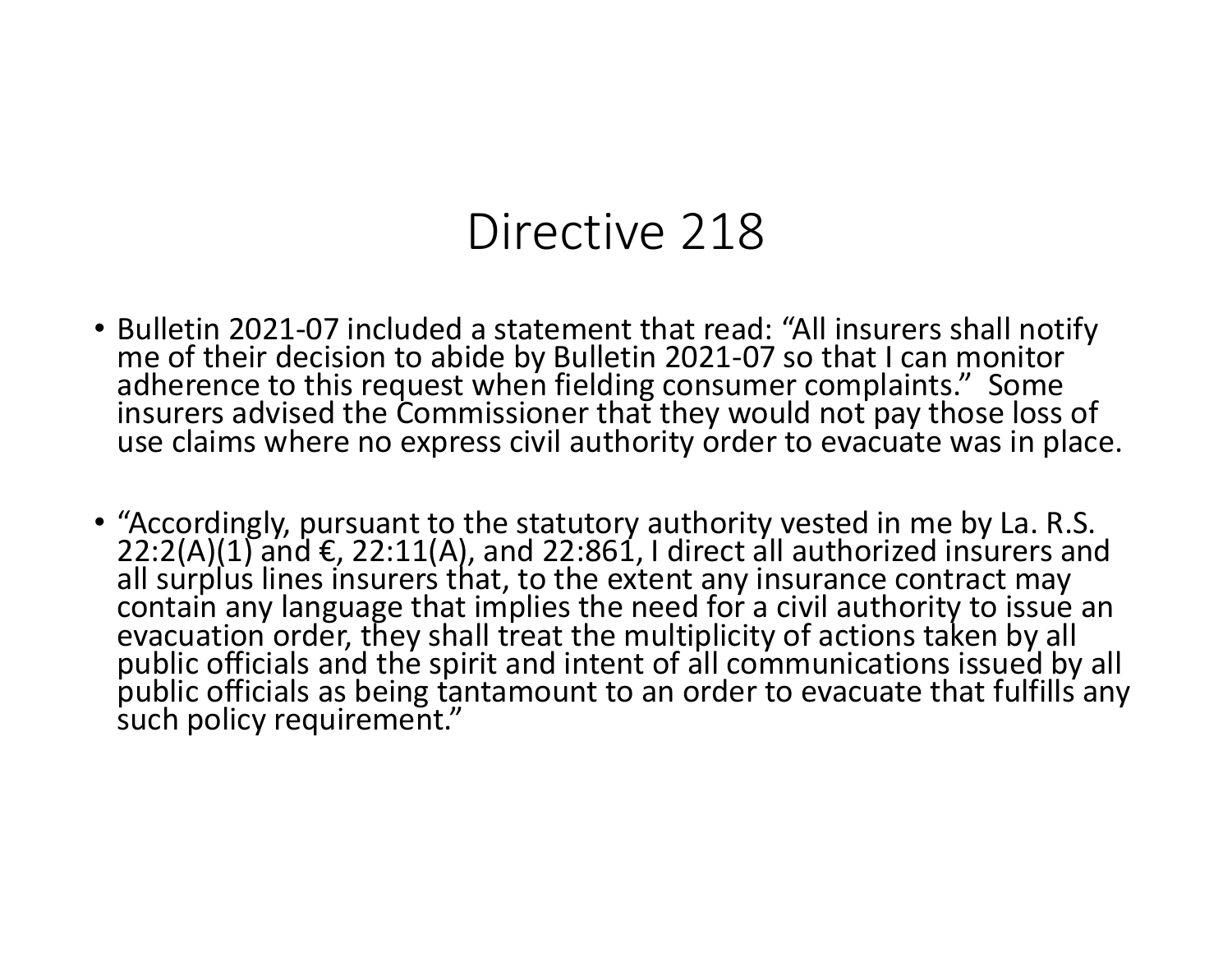#### Directive 218

- Bulletin 2021‐07 included <sup>a</sup> statement that read: "All insurers shall notify me of their decision to abide by Bulletin 2021-07 so that I can monitor<br>adherence to this request when fielding consumer complaints." Some insurers advised the Commissioner that they would not pay those loss of use claims where no express civil authority order to evacuate was in place.
- "Accordingly, pursuant to the statutory authority vested in me by La. R.S. 22:2(A)(1) and €, 22:11(A), and 22:861, <sup>I</sup> direct all authorized insurers and allall surplus lines insurers that, to the extent any insurance contract may contain any language that implies the need for <sup>a</sup> civil authority to issue an evacuation order, they shall treat the multiplicity of actions taken by all<br>public officials and the spirit and intent of all communications issued by all<br>public officials as being tantamount to an order to evacuate that f public officials as being tantamount to an order to evacuate that fulfills any such policy requirement."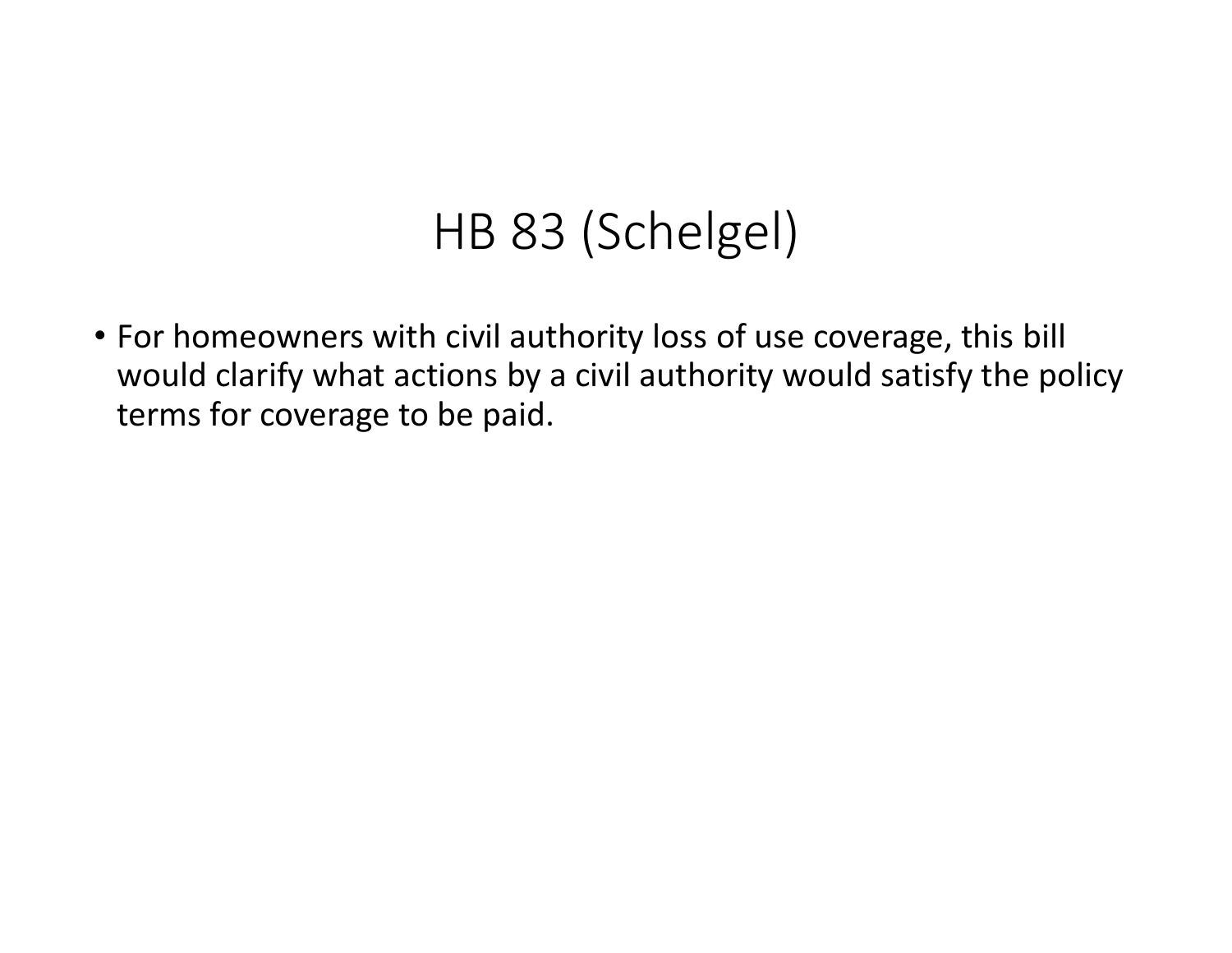## HB 83 (Schelgel)

• For homeowners with civil authority loss of use coverage, this bill would clarify what actions by <sup>a</sup> civil authority would satisfy the policy terms for coverage to be paid.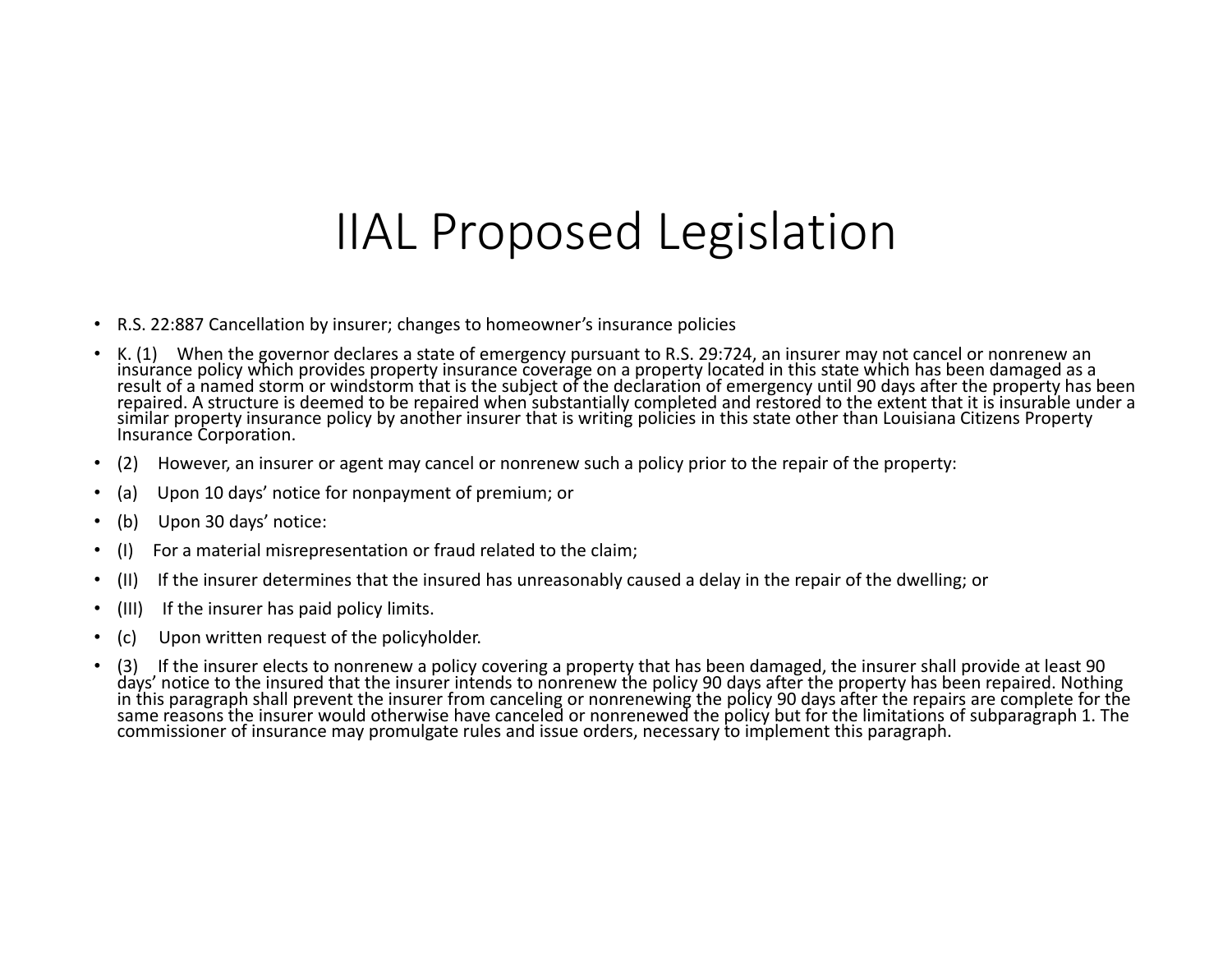### IIAL Proposed Legislation

- R.S. 22:887 Cancellation by insurer; changes to homeowner's insurance policies
- • K. (1) When the governor declares <sup>a</sup> state of emergency pursuant to R.S. 29:724, an insurer may not cancel or nonrenew an insurance policy which provides property insurance coverage on a property located in this state which has been damaged as a<br>result of a named storm or windstorm that is the subject of the declaration of emergency until 90 similar property insurance policy by another insurer that is writing policies in this state other than Louisiana Citizens Property Insurance Corporation.
- •(2) However, an insurer or agent may cancel or nonrenew such <sup>a</sup> policy prior to the repair of the property:
- •(a) Upon 10 days' notice for nonpayment of premium; or
- •(b) Upon 30 days' notice:
- •(I) For <sup>a</sup> material misrepresentation or fraud related to the claim;
- •(II) If the insurer determines that the insured has unreasonably caused <sup>a</sup> delay in the repair of the dwelling; or
- •(III) If the insurer has paid policy limits.
- •(c) Upon written request of the policyholder.
- •• (3) If the insurer elects to nonrenew a policy covering a property that has been damaged, the insurer shall provide at least 90<br>days' notice to the insured that the insurer intends to nonrenew the policy 90 days after th in this paragraph shall prevent the insurer from canceling or nonrenewing the policy 90 days after the repairs are complete for the same reasons the insurer would otherwise have canceled or nonrenewed the policy but for the limitations of subparagraph 1. The commissioner of insurance may promulgate rules and issue orders, necessary to implement this paragraph.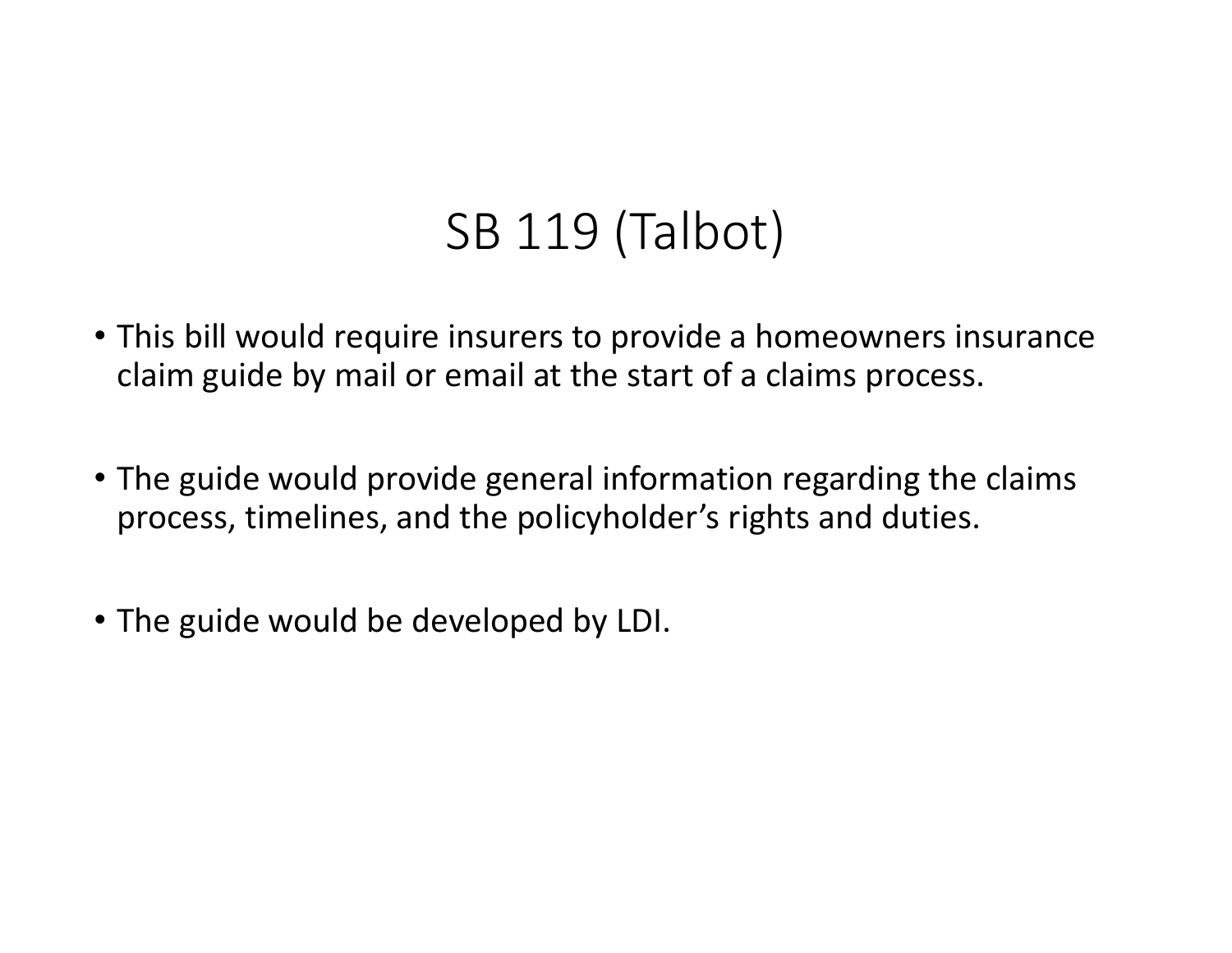## SB 119 (Talbot)

- This bill would require insurers to provide <sup>a</sup> homeowners insurance claim guide by mail or email at the start of <sup>a</sup> claims process.
- The guide would provide general information regarding the claims process, timelines, and the policyholder's rights and duties.
- The guide would be developed by LDI.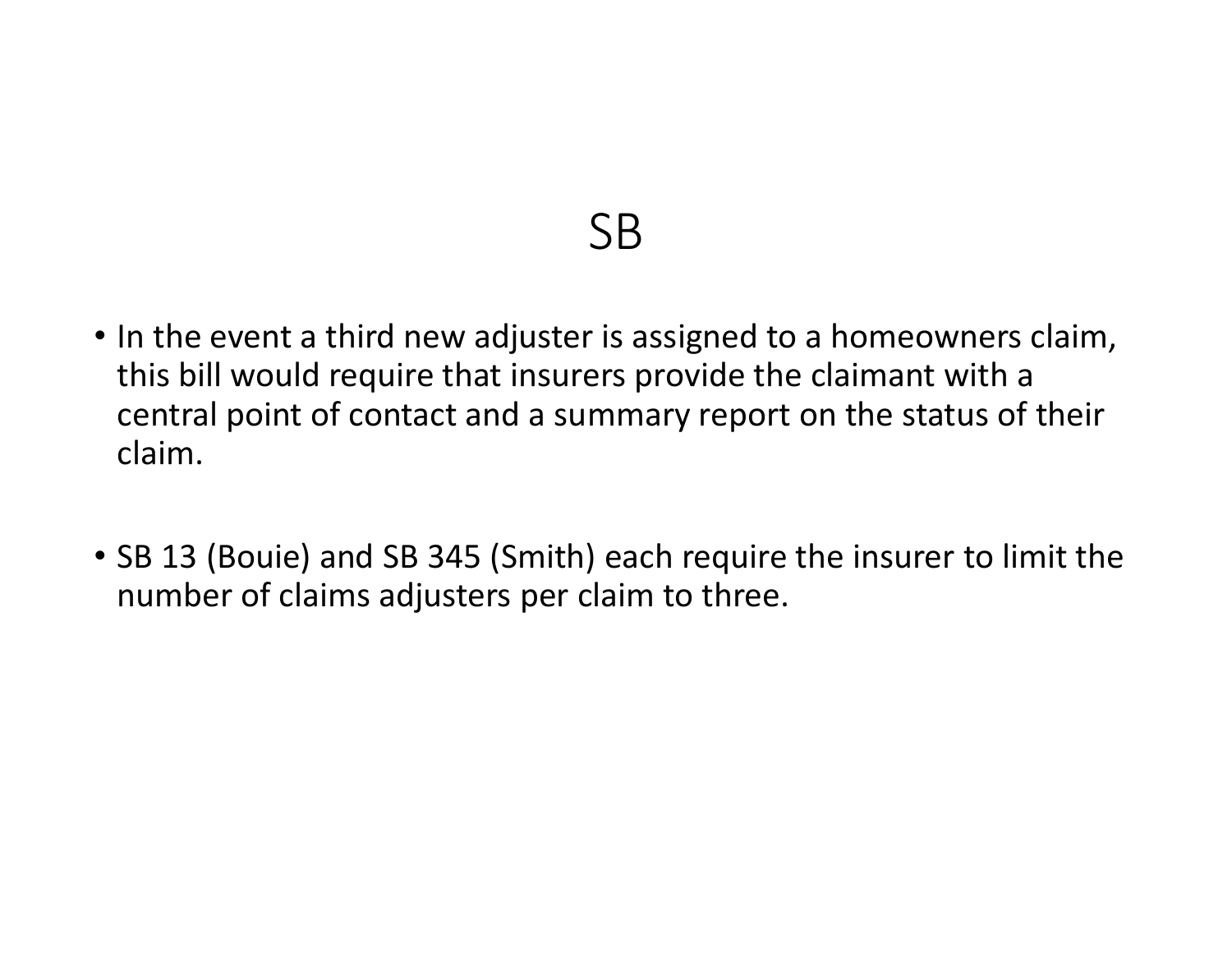#### SB

- In the event <sup>a</sup> third new adjuster is assigned to <sup>a</sup> homeowners claim, this bill would require that insurers provide the claimant with <sup>a</sup> central point of contact and <sup>a</sup> summary report on the status of their claim.
- SB 13 (Bouie) and SB 345 (Smith) each require the insurer to limit the number of claims adjusters per claim to three.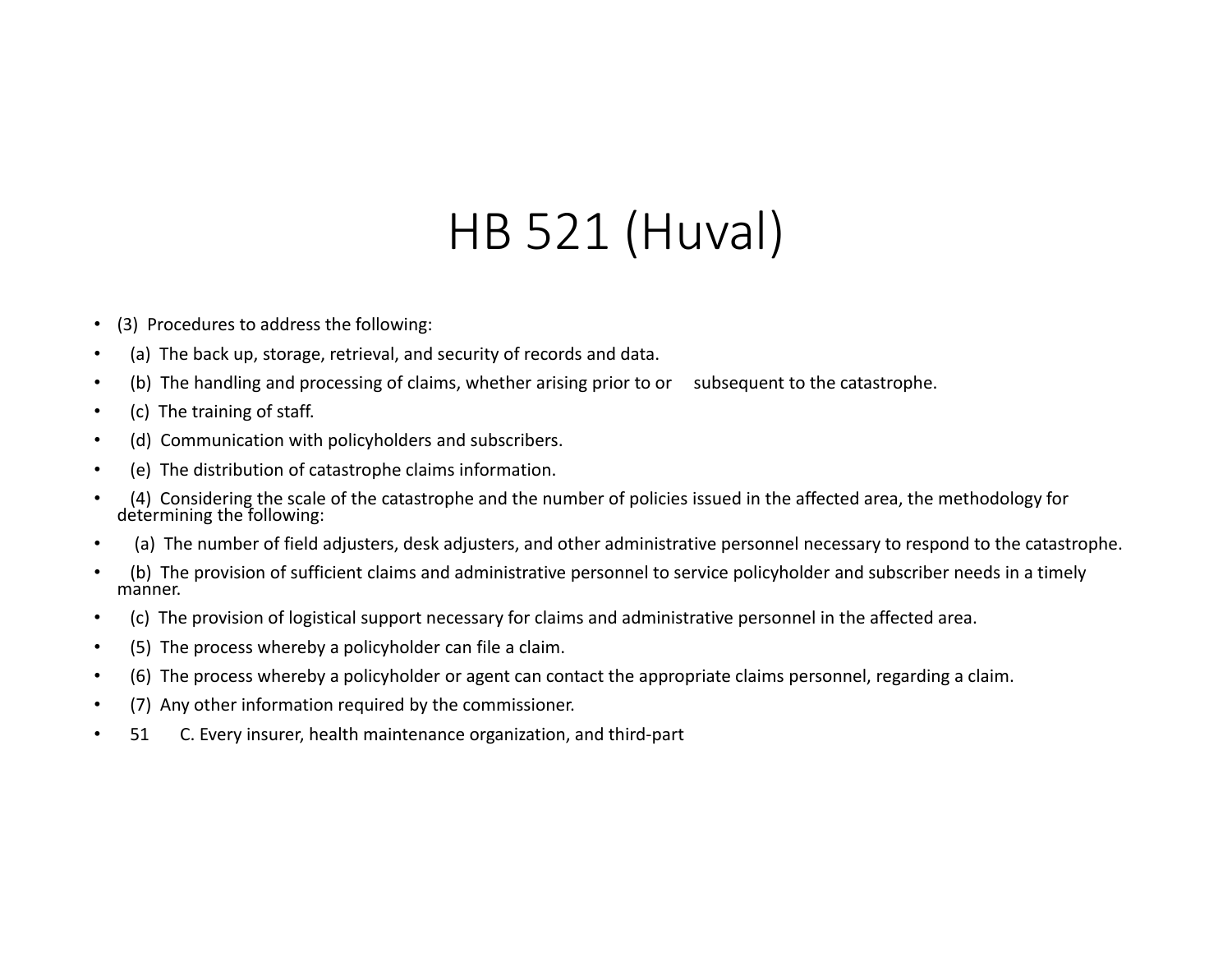# HB 521 (Huval)

- •(3) Procedures to address the following:
- •(a) The back up, storage, retrieval, and security of records and data.
- •(b) The handling and processing of claims, whether arising prior to or subsequent to the catastrophe.
- •(c) The training of staff.
- •(d) Communication with policyholders and subscribers.
- •(e) The distribution of catastrophe claims information.
- •(4) Considering the scale of the catastrophe and the number of policies issued in the affected area, the methodology for determining the following:
- •(a) The number of field adjusters, desk adjusters, and other administrative personnel necessary to respond to the catastrophe.
- • (b) The provision of sufficient claims and administrative personnel to service policyholder and subscriber needs in <sup>a</sup> timely manner.
- •(c) The provision of logistical support necessary for claims and administrative personnel in the affected area.
- •(5) The process whereby <sup>a</sup> policyholder can file <sup>a</sup> claim.
- •(6) The process whereby <sup>a</sup> policyholder or agent can contact the appropriate claims personnel, regarding <sup>a</sup> claim.
- •(7) Any other information required by the commissioner.
- • 51C. Every insurer, health maintenance organization, and third‐part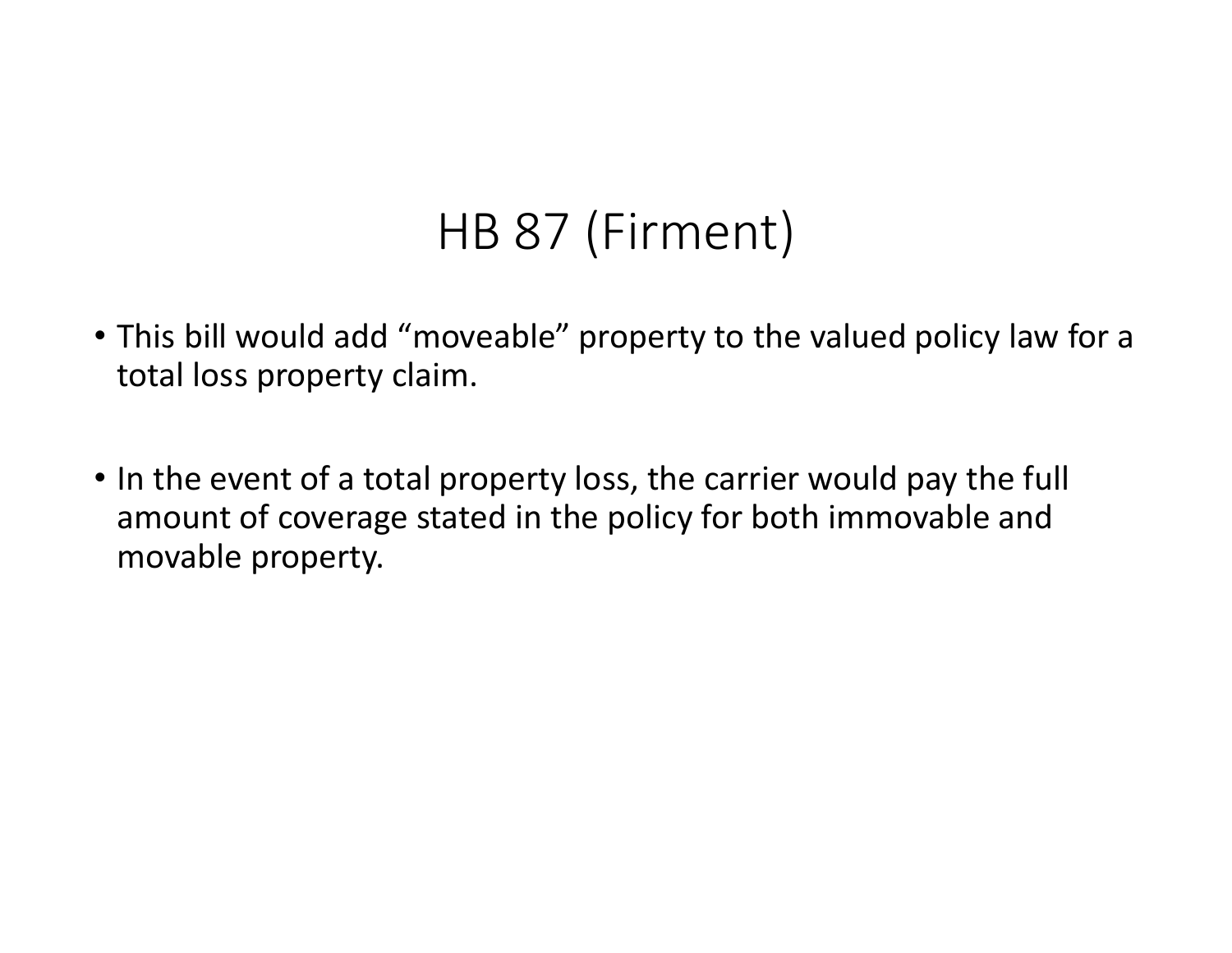# HB 87 (Firment)

- This bill would add "moveable" property to the valued policy law for <sup>a</sup> total loss property claim.
- In the event of <sup>a</sup> total property loss, the carrier would pay the full amount of coverage stated in the policy for both immovable and movable property.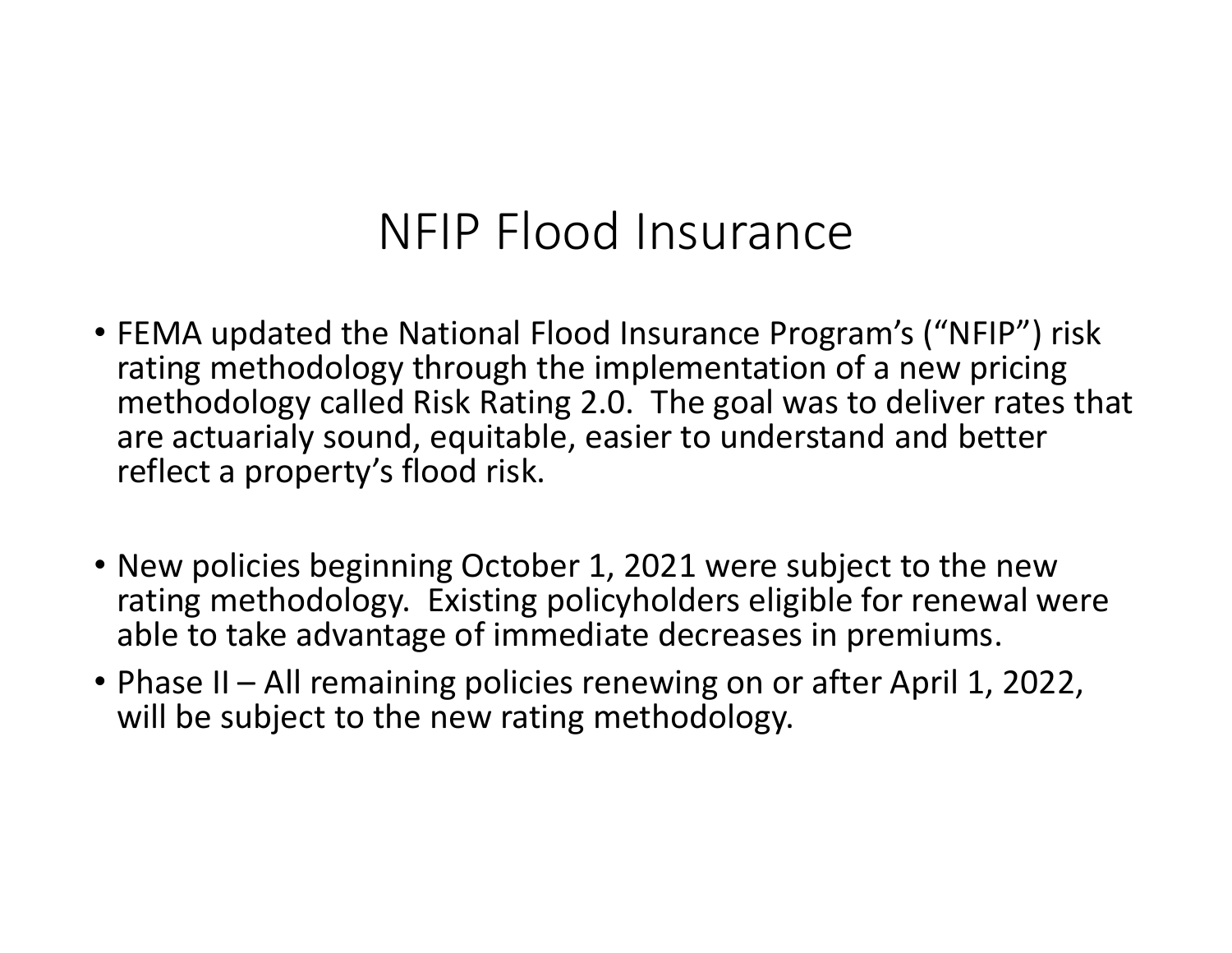## NFIP Flood Insurance

- FEMA updated the National Flood Insurance Program's ("NFIP") risk rating methodology through the implementation of <sup>a</sup> new pricing methodology called Risk Rating 2.0. The goal was to deliver rates that are actuarialy sound, equitable, easier to understand and better reflect a property's flood risk.
- New policies beginning October 1, 2021 were subject to the new rating methodology. Existing policyholders eligible for renewal were able to take advantage of immediate decreases in premiums.
- Phase II All remaining policies renewing on or after April 1, 2022, will be subject to the new rating methodology.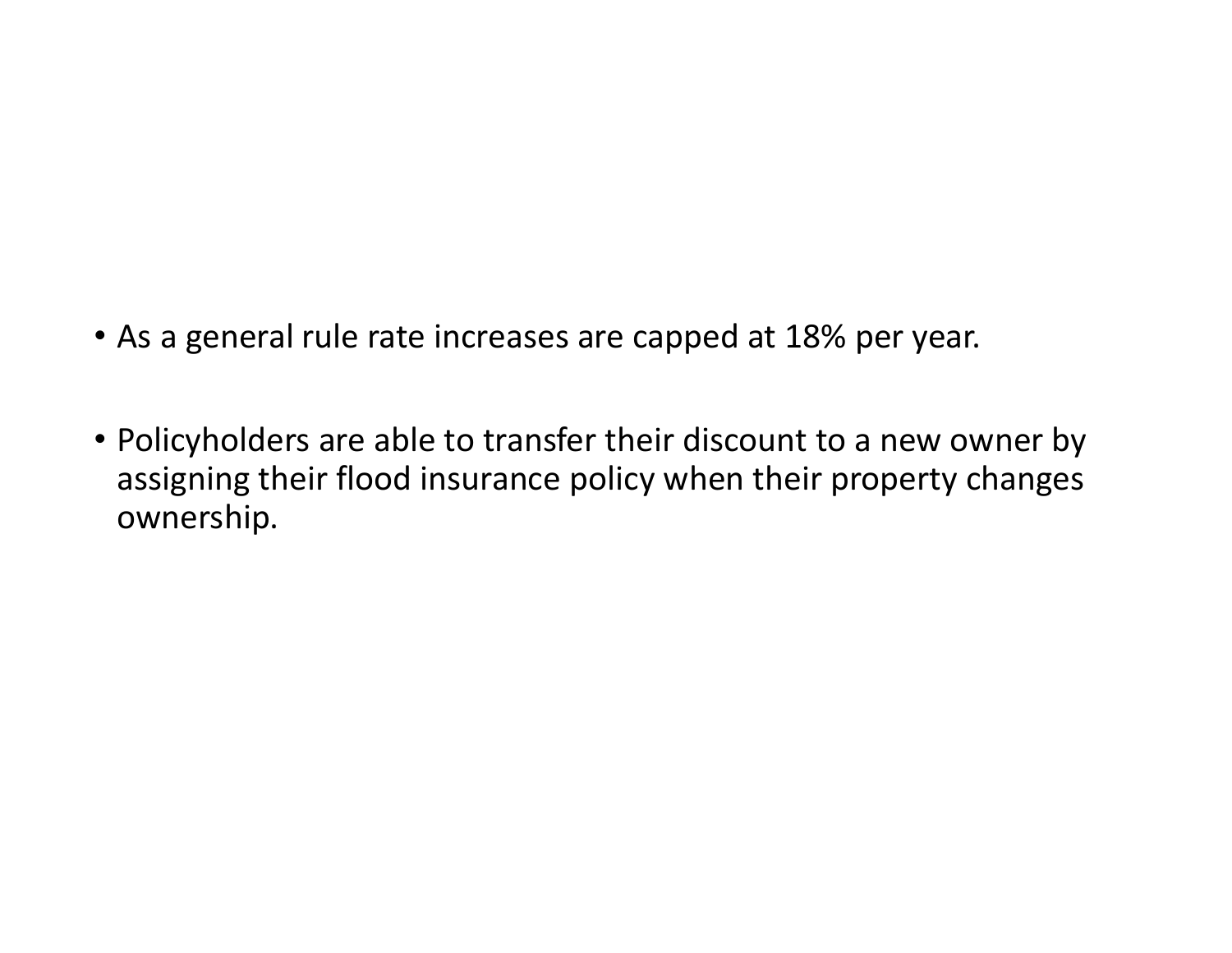- As a general rule rate increases are capped at 18% per year.
- Policyholders are able to transfer their discount to <sup>a</sup> new owner by assigning their flood insurance policy when their property changes ownership.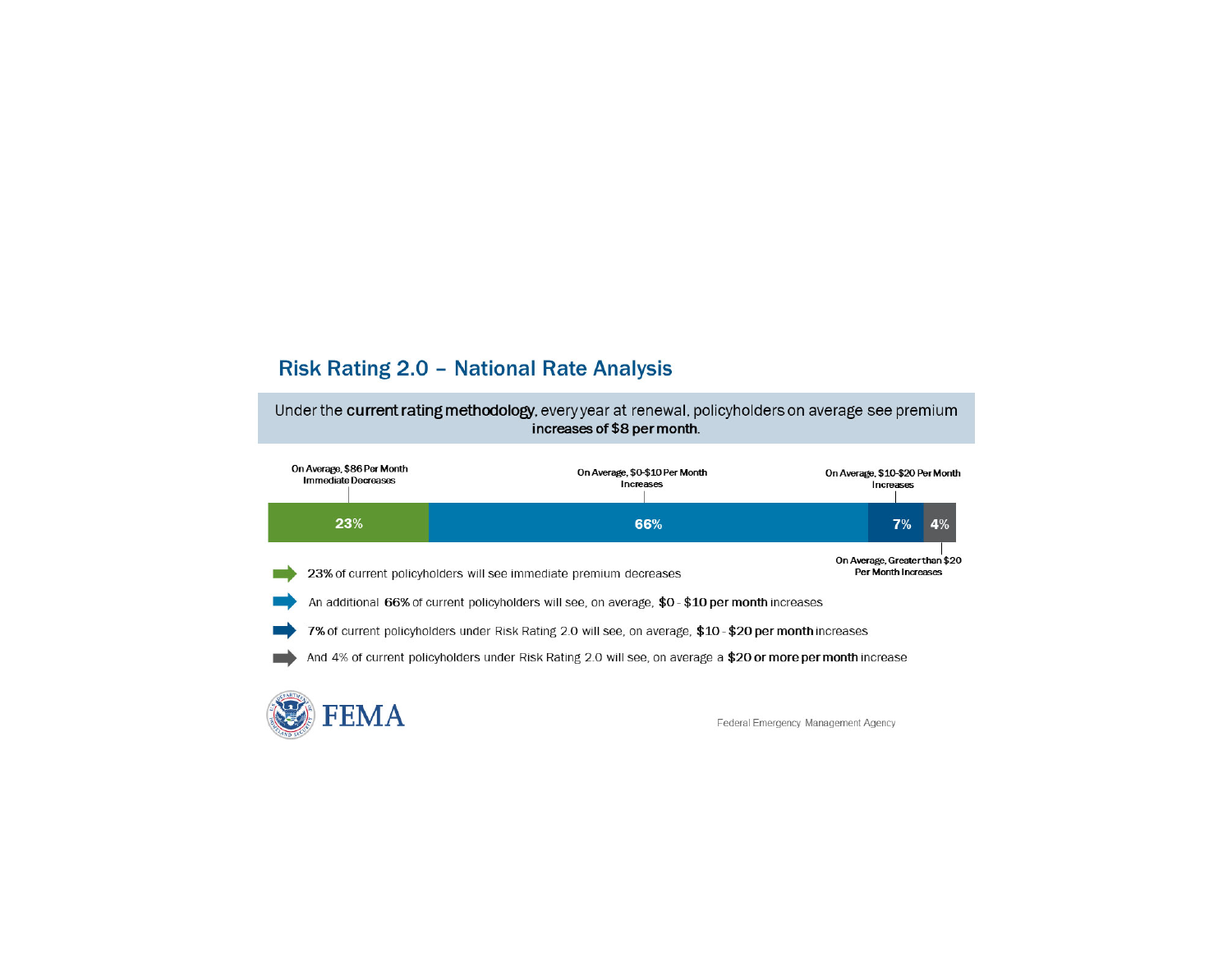#### **Risk Rating 2.0 - National Rate Analysis**

Under the current rating methodology, every year at renewal, policyholders on average see premium increases of \$8 per month.

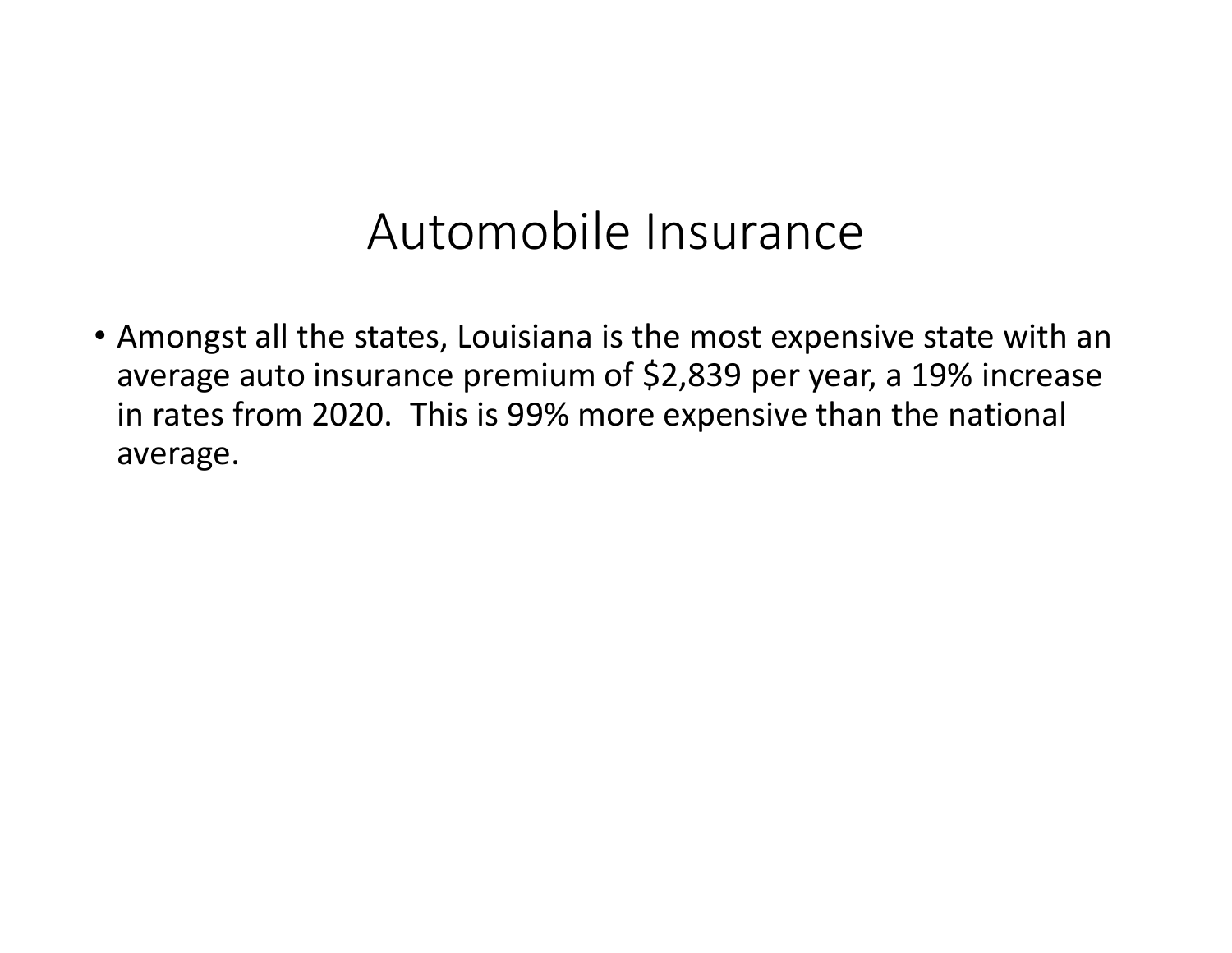### Automobile Insurance

• Amongst all the states, Louisiana is the most expensive state with an average auto insurance premium of \$2,839 per year, <sup>a</sup> 19% increase in rates from 2020. This is 99% more expensive than the national average.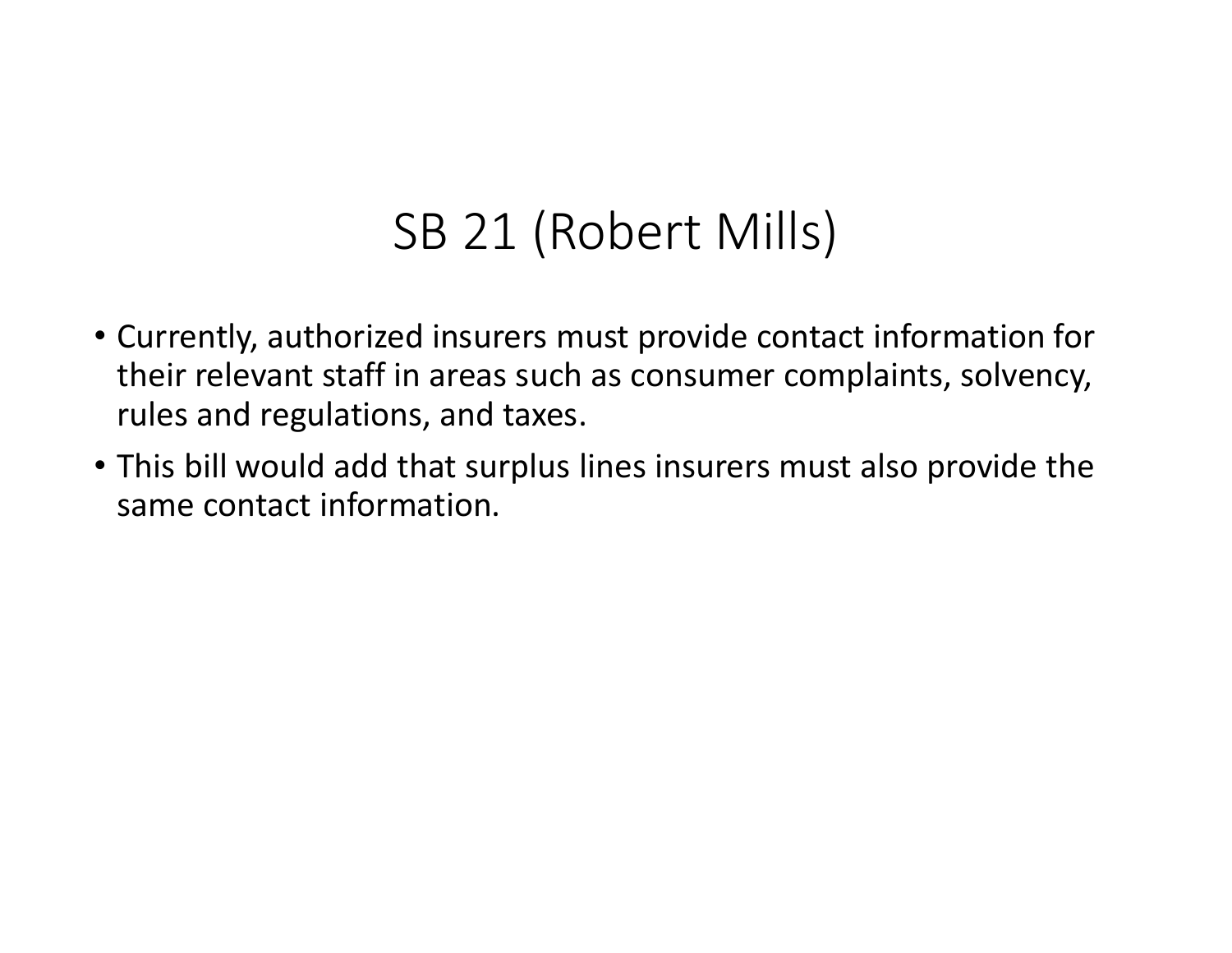## SB 21 (Robert Mills)

- Currently, authorized insurers must provide contact information for their relevant staff in areas such as consumer complaints, solvency, rules and regulations, and taxes.
- This bill would add that surplus lines insurers must also provide the same contact information.